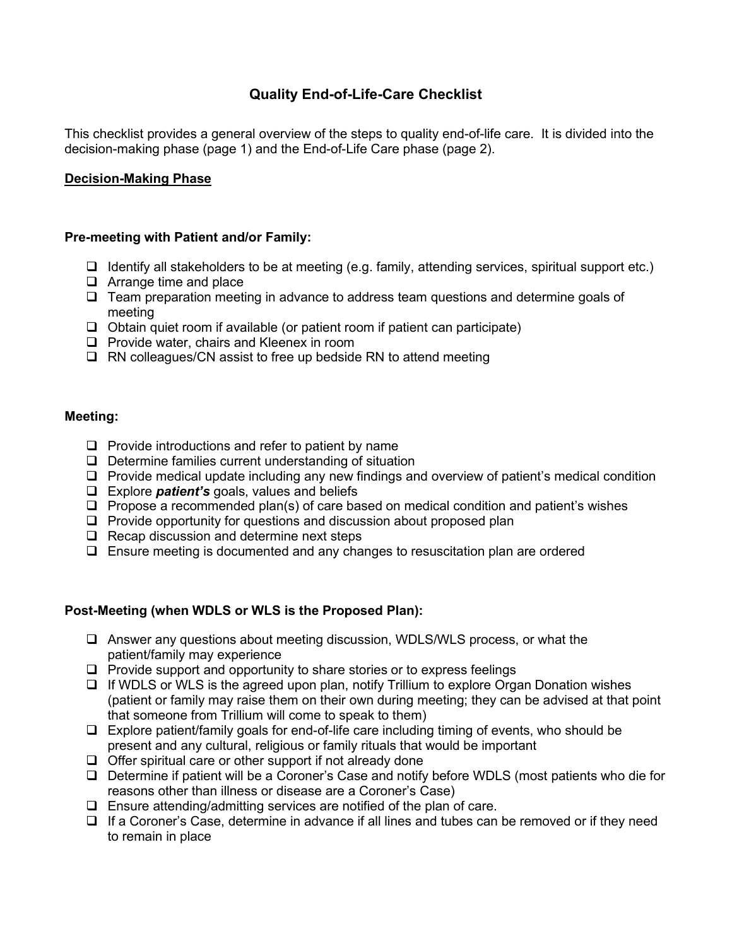# **Quality End-of-Life-Care Checklist**

This checklist provides a general overview of the steps to quality end-of-life care. It is divided into the decision-making phase (page 1) and the End-of-Life Care phase (page 2).

## **Decision-Making Phase**

### **Pre-meeting with Patient and/or Family:**

- $\Box$  Identify all stakeholders to be at meeting (e.g. family, attending services, spiritual support etc.)
- ❑ Arrange time and place
- ❑ Team preparation meeting in advance to address team questions and determine goals of meeting
- ❑ Obtain quiet room if available (or patient room if patient can participate)
- ❑ Provide water, chairs and Kleenex in room
- ❑ RN colleagues/CN assist to free up bedside RN to attend meeting

#### **Meeting:**

- ❑ Provide introductions and refer to patient by name
- ❑ Determine families current understanding of situation
- ❑ Provide medical update including any new findings and overview of patient's medical condition
- ❑ Explore *patient's* goals, values and beliefs
- ❑ Propose a recommended plan(s) of care based on medical condition and patient's wishes
- ❑ Provide opportunity for questions and discussion about proposed plan
- ❑ Recap discussion and determine next steps
- ❑ Ensure meeting is documented and any changes to resuscitation plan are ordered

### **Post-Meeting (when WDLS or WLS is the Proposed Plan):**

- ❑ Answer any questions about meeting discussion, WDLS/WLS process, or what the patient/family may experience
- ❑ Provide support and opportunity to share stories or to express feelings
- ❑ If WDLS or WLS is the agreed upon plan, notify Trillium to explore Organ Donation wishes (patient or family may raise them on their own during meeting; they can be advised at that point that someone from Trillium will come to speak to them)
- ❑ Explore patient/family goals for end-of-life care including timing of events, who should be present and any cultural, religious or family rituals that would be important
- ❑ Offer spiritual care or other support if not already done
- ❑ Determine if patient will be a Coroner's Case and notify before WDLS (most patients who die for reasons other than illness or disease are a Coroner's Case)
- ❑ Ensure attending/admitting services are notified of the plan of care.
- ❑ If a Coroner's Case, determine in advance if all lines and tubes can be removed or if they need to remain in place